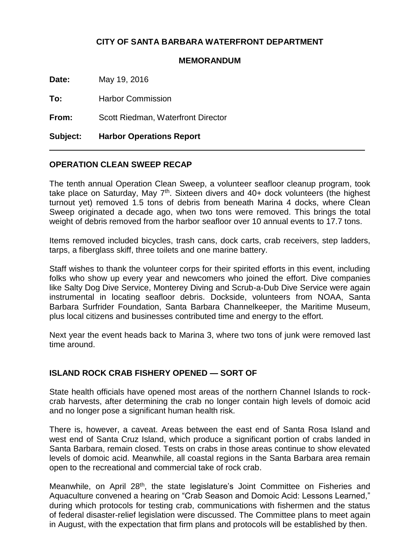# **CITY OF SANTA BARBARA WATERFRONT DEPARTMENT**

#### **MEMORANDUM**

**Date:** May 19, 2016

**To:** Harbor Commission

**From:** Scott Riedman, Waterfront Director

**Subject: Harbor Operations Report**

### **OPERATION CLEAN SWEEP RECAP**

The tenth annual Operation Clean Sweep, a volunteer seafloor cleanup program, took take place on Saturday, May 7<sup>th</sup>. Sixteen divers and 40+ dock volunteers (the highest turnout yet) removed 1.5 tons of debris from beneath Marina 4 docks, where Clean Sweep originated a decade ago, when two tons were removed. This brings the total weight of debris removed from the harbor seafloor over 10 annual events to 17.7 tons.

Items removed included bicycles, trash cans, dock carts, crab receivers, step ladders, tarps, a fiberglass skiff, three toilets and one marine battery.

Staff wishes to thank the volunteer corps for their spirited efforts in this event, including folks who show up every year and newcomers who joined the effort. Dive companies like Salty Dog Dive Service, Monterey Diving and Scrub-a-Dub Dive Service were again instrumental in locating seafloor debris. Dockside, volunteers from NOAA, Santa Barbara Surfrider Foundation, Santa Barbara Channelkeeper, the Maritime Museum, plus local citizens and businesses contributed time and energy to the effort.

Next year the event heads back to Marina 3, where two tons of junk were removed last time around.

### **ISLAND ROCK CRAB FISHERY OPENED — SORT OF**

State health officials have opened most areas of the northern Channel Islands to rockcrab harvests, after determining the crab no longer contain high levels of domoic acid and no longer pose a significant human health risk.

There is, however, a caveat. Areas between the east end of Santa Rosa Island and west end of Santa Cruz Island, which produce a significant portion of crabs landed in Santa Barbara, remain closed. Tests on crabs in those areas continue to show elevated levels of domoic acid. Meanwhile, all coastal regions in the Santa Barbara area remain open to the recreational and commercial take of rock crab.

Meanwhile, on April 28<sup>th</sup>, the state legislature's Joint Committee on Fisheries and Aquaculture convened a hearing on "Crab Season and Domoic Acid: Lessons Learned," during which protocols for testing crab, communications with fishermen and the status of federal disaster-relief legislation were discussed. The Committee plans to meet again in August, with the expectation that firm plans and protocols will be established by then.